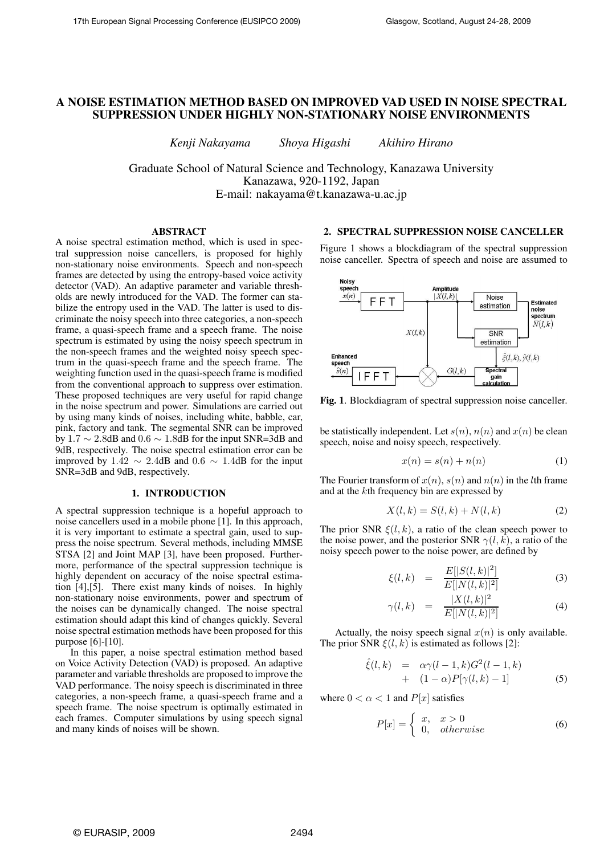# **A NOISE ESTIMATION METHOD BASED ON IMPROVED VAD USED IN NOISE SPECTRAL SUPPRESSION UNDER HIGHLY NON-STATIONARY NOISE ENVIRONMENTS**

*Kenji Nakayama Shoya Higashi Akihiro Hirano*

Graduate School of Natural Science and Technology, Kanazawa University Kanazawa, 920-1192, Japan E-mail: nakayama@t.kanazawa-u.ac.jp

## **ABSTRACT**

A noise spectral estimation method, which is used in spectral suppression noise cancellers, is proposed for highly non-stationary noise environments. Speech and non-speech frames are detected by using the entropy-based voice activity detector (VAD). An adaptive parameter and variable thresholds are newly introduced for the VAD. The former can stabilize the entropy used in the VAD. The latter is used to discriminate the noisy speech into three categories, a non-speech frame, a quasi-speech frame and a speech frame. The noise spectrum is estimated by using the noisy speech spectrum in the non-speech frames and the weighted noisy speech spectrum in the quasi-speech frame and the speech frame. The weighting function used in the quasi-speech frame is modified from the conventional approach to suppress over estimation. These proposed techniques are very useful for rapid change in the noise spectrum and power. Simulations are carried out by using many kinds of noises, including white, babble, car, pink, factory and tank. The segmental SNR can be improved by  $1.7 \sim 2.8$ dB and  $0.6 \sim 1.8$ dB for the input SNR=3dB and 9dB, respectively. The noise spectral estimation error can be improved by 1.42  $\sim$  2.4dB and 0.6  $\sim$  1.4dB for the input SNR=3dB and 9dB, respectively.

## **1. INTRODUCTION**

A spectral suppression technique is a hopeful approach to noise cancellers used in a mobile phone [1]. In this approach, it is very important to estimate a spectral gain, used to suppress the noise spectrum. Several methods, including MMSE STSA [2] and Joint MAP [3], have been proposed. Furthermore, performance of the spectral suppression technique is highly dependent on accuracy of the noise spectral estimation [4],[5]. There exist many kinds of noises. In highly non-stationary noise environments, power and spectrum of the noises can be dynamically changed. The noise spectral estimation should adapt this kind of changes quickly. Several noise spectral estimation methods have been proposed for this purpose [6]-[10].

In this paper, a noise spectral estimation method based on Voice Activity Detection (VAD) is proposed. An adaptive parameter and variable thresholds are proposed to improve the VAD performance. The noisy speech is discriminated in three categories, a non-speech frame, a quasi-speech frame and a speech frame. The noise spectrum is optimally estimated in each frames. Computer simulations by using speech signal and many kinds of noises will be shown.

# **2. SPECTRAL SUPPRESSION NOISE CANCELLER**

Figure 1 shows a blockdiagram of the spectral suppression noise canceller. Spectra of speech and noise are assumed to



**Fig. 1**. Blockdiagram of spectral suppression noise canceller.

be statistically independent. Let  $s(n)$ ,  $n(n)$  and  $x(n)$  be clean speech, noise and noisy speech, respectively.

$$
x(n) = s(n) + n(n) \tag{1}
$$

The Fourier transform of  $x(n)$ ,  $s(n)$  and  $n(n)$  in the lth frame and at the kth frequency bin are expressed by

$$
X(l,k) = S(l,k) + N(l,k)
$$
\n<sup>(2)</sup>

The prior SNR  $\xi(l, k)$ , a ratio of the clean speech power to the noise power, and the posterior SNR  $\gamma(l, k)$ , a ratio of the noisy speech power to the noise power, are defined by

$$
\xi(l,k) = \frac{E[|S(l,k)|^2]}{E[|N(l,k)|^2]}
$$
 (3)

$$
\gamma(l,k) = \frac{|X(l,k)|^2}{E[|N(l,k)|^2]}
$$
(4)

Actually, the noisy speech signal  $x(n)$  is only available. The prior SNR  $\xi(l, k)$  is estimated as follows [2]:

$$
\hat{\xi}(l,k) = \alpha \gamma (l-1,k) G^2(l-1,k) \n+ (1-\alpha) P[\gamma(l,k)-1]
$$
\n(5)

where  $0 < \alpha < 1$  and  $P[x]$  satisfies

$$
P[x] = \begin{cases} x, & x > 0 \\ 0, & otherwise \end{cases}
$$
 (6)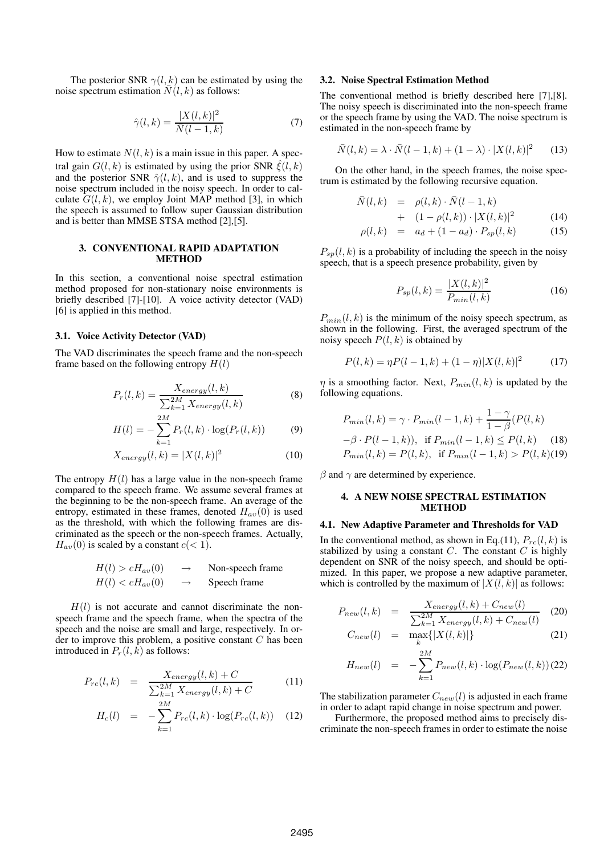The posterior SNR  $\gamma(l, k)$  can be estimated by using the noise spectrum estimation  $\overline{N}(l, k)$  as follows:

$$
\hat{\gamma}(l,k) = \frac{|X(l,k)|^2}{\bar{N}(l-1,k)}\tag{7}
$$

How to estimate  $N(l, k)$  is a main issue in this paper. A spectral gain  $G(l, k)$  is estimated by using the prior SNR  $\hat{\xi}(l, k)$ and the posterior SNR  $\hat{\gamma}(l, k)$ , and is used to suppress the noise spectrum included in the noisy speech. In order to calculate  $G(l, k)$ , we employ Joint MAP method [3], in which the speech is assumed to follow super Gaussian distribution and is better than MMSE STSA method [2],[5].

## **3. CONVENTIONAL RAPID ADAPTATION METHOD**

In this section, a conventional noise spectral estimation method proposed for non-stationary noise environments is briefly described [7]-[10]. A voice activity detector (VAD) [6] is applied in this method.

## **3.1. Voice Activity Detector (VAD)**

The VAD discriminates the speech frame and the non-speech frame based on the following entropy  $H(l)$ 

$$
P_r(l,k) = \frac{X_{energy}(l,k)}{\sum_{k=1}^{2M} X_{energy}(l,k)}
$$
(8)

$$
H(l) = -\sum_{k=1}^{2M} P_r(l,k) \cdot \log(P_r(l,k))
$$
 (9)

$$
X_{energy}(l,k) = |X(l,k)|^2
$$
 (10)

The entropy  $H(l)$  has a large value in the non-speech frame compared to the speech frame. We assume several frames at the beginning to be the non-speech frame. An average of the entropy, estimated in these frames, denoted  $H_{av}(0)$  is used as the threshold, with which the following frames are discriminated as the speech or the non-speech frames. Actually,  $H_{av}(0)$  is scaled by a constant  $c(< 1)$ .

$$
H(l) > cH_{av}(0) \rightarrow \text{Non-speech frame}
$$
  

$$
H(l) < cH_{av}(0) \rightarrow \text{Speed frame}
$$

 $H(l)$  is not accurate and cannot discriminate the nonspeech frame and the speech frame, when the spectra of the speech and the noise are small and large, respectively. In order to improve this problem, a positive constant  $C$  has been introduced in  $P_r(l, \hat{k})$  as follows:

$$
P_{rc}(l,k) = \frac{X_{energy}(l,k) + C}{\sum_{k=1}^{2M} X_{energy}(l,k) + C}
$$
(11)

$$
H_c(l) = -\sum_{k=1}^{2M} P_{rc}(l,k) \cdot \log(P_{rc}(l,k)) \quad (12)
$$

### **3.2. Noise Spectral Estimation Method**

The conventional method is briefly described here [7],[8]. The noisy speech is discriminated into the non-speech frame or the speech frame by using the VAD. The noise spectrum is estimated in the non-speech frame by

$$
\bar{N}(l,k) = \lambda \cdot \bar{N}(l-1,k) + (1-\lambda) \cdot |X(l,k)|^2 \qquad (13)
$$

On the other hand, in the speech frames, the noise spectrum is estimated by the following recursive equation.

$$
\bar{N}(l,k) = \rho(l,k) \cdot \bar{N}(l-1,k)
$$

+ 
$$
(1 - \rho(l,k)) \cdot |X(l,k)|^2
$$
 (14)  
(11)

$$
\rho(l,k) = a_d + (1 - a_d) \cdot P_{sp}(l,k) \tag{15}
$$

 $P_{sp}(l, k)$  is a probability of including the speech in the noisy speech, that is a speech presence probability, given by

$$
P_{sp}(l,k) = \frac{|X(l,k)|^2}{P_{min}(l,k)}\tag{16}
$$

 $P_{min}(l, k)$  is the minimum of the noisy speech spectrum, as shown in the following. First, the averaged spectrum of the noisy speech  $P(l, k)$  is obtained by

$$
P(l,k) = \eta P(l-1,k) + (1-\eta)|X(l,k)|^2 \tag{17}
$$

 $\eta$  is a smoothing factor. Next,  $P_{min}(l, k)$  is updated by the following equations.

$$
P_{min}(l,k) = \gamma \cdot P_{min}(l-1,k) + \frac{1-\gamma}{1-\beta}(P(l,k))
$$
  
- $\beta \cdot P(l-1,k)$ ), if  $P_{min}(l-1,k) \le P(l,k)$  (18)  
 $P_{min}(l,k) = P(l,k)$ , if  $P_{min}(l-1,k) > P(l,k)$ (19)

 $\beta$  and  $\gamma$  are determined by experience.

## **4. A NEW NOISE SPECTRAL ESTIMATION METHOD**

## **4.1. New Adaptive Parameter and Thresholds for VAD**

In the conventional method, as shown in Eq.(11),  $P_{rc}(l, k)$  is stabilized by using a constant  $C$ . The constant  $C$  is highly dependent on SNR of the noisy speech, and should be optimized. In this paper, we propose a new adaptive parameter, which is controlled by the maximum of  $|X(l, k)|$  as follows:

$$
P_{new}(l,k) = \frac{X_{energy}(l,k) + C_{new}(l)}{\sum_{k=1}^{2M} X_{energy}(l,k) + C_{new}(l)} \quad (20)
$$

$$
C_{new}(l) = \max_{k} \{ |X(l, k)| \} \tag{21}
$$

$$
H_{new}(l) = -\sum_{k=1}^{2M} P_{new}(l,k) \cdot \log(P_{new}(l,k))
$$
 (22)

The stabilization parameter  $C_{new}(l)$  is adjusted in each frame in order to adapt rapid change in noise spectrum and power.

Furthermore, the proposed method aims to precisely discriminate the non-speech frames in order to estimate the noise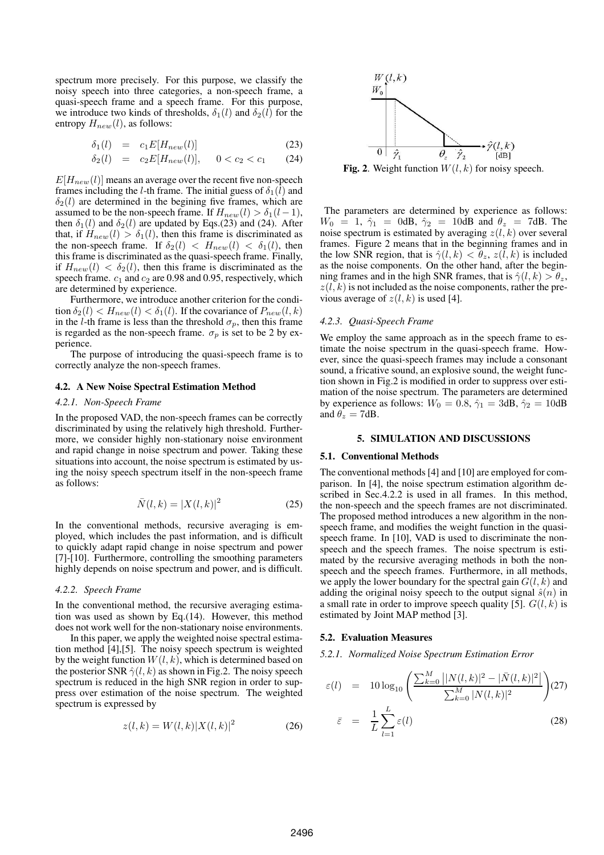spectrum more precisely. For this purpose, we classify the noisy speech into three categories, a non-speech frame, a quasi-speech frame and a speech frame. For this purpose, we introduce two kinds of thresholds,  $\delta_1(l)$  and  $\delta_2(l)$  for the entropy  $H_{new}(l)$ , as follows:

$$
\delta_1(l) = c_1 E[H_{new}(l)] \tag{23}
$$

$$
\delta_2(l) = c_2 E[H_{new}(l)], \quad 0 < c_2 < c_1 \tag{24}
$$

 $E[H_{new}(l)]$  means an average over the recent five non-speech frames including the *l*-th frame. The initial guess of  $\delta_1(l)$  and  $\delta_2(l)$  are determined in the begining five frames, which are assumed to be the non-speech frame. If  $H_{new}(l) > \delta_1(l-1)$ , then  $\delta_1(l)$  and  $\delta_2(l)$  are updated by Eqs.(23) and (24). After that, if  $H_{new}(l) > \delta_1(l)$ , then this frame is discriminated as the non-speech frame. If  $\delta_2(l) < H_{new}(l) < \delta_1(l)$ , then this frame is discriminated as the quasi-speech frame. Finally, if  $H_{new}(l) < \delta_2(l)$ , then this frame is discriminated as the speech frame.  $c_1$  and  $c_2$  are 0.98 and 0.95, respectively, which are determined by experience.

Furthermore, we introduce another criterion for the condition  $\delta_2(l) < H_{new}(l) < \delta_1(l)$ . If the covariance of  $P_{new}(l, k)$ in the l-th frame is less than the threshold  $\sigma_p$ , then this frame is regarded as the non-speech frame.  $\sigma_p$  is set to be 2 by experience.

The purpose of introducing the quasi-speech frame is to correctly analyze the non-speech frames.

### **4.2. A New Noise Spectral Estimation Method**

#### *4.2.1. Non-Speech Frame*

In the proposed VAD, the non-speech frames can be correctly discriminated by using the relatively high threshold. Furthermore, we consider highly non-stationary noise environment and rapid change in noise spectrum and power. Taking these situations into account, the noise spectrum is estimated by using the noisy speech spectrum itself in the non-speech frame as follows:

$$
\bar{N}(l,k) = |X(l,k)|^2 \tag{25}
$$

In the conventional methods, recursive averaging is employed, which includes the past information, and is difficult to quickly adapt rapid change in noise spectrum and power [7]-[10]. Furthermore, controlling the smoothing parameters highly depends on noise spectrum and power, and is difficult.

#### *4.2.2. Speech Frame*

In the conventional method, the recursive averaging estimation was used as shown by Eq.(14). However, this method does not work well for the non-stationary noise environments.

In this paper, we apply the weighted noise spectral estimation method [4],[5]. The noisy speech spectrum is weighted by the weight function  $W(l, k)$ , which is determined based on the posterior SNR  $\hat{\gamma}(l, k)$  as shown in Fig.2. The noisy speech spectrum is reduced in the high SNR region in order to suppress over estimation of the noise spectrum. The weighted spectrum is expressed by

$$
z(l,k) = W(l,k)|X(l,k)|^2
$$
 (26)



**Fig. 2**. Weight function  $W(l, k)$  for noisy speech.

The parameters are determined by experience as follows:  $W_0 = 1$ ,  $\hat{\gamma}_1 = 0$ dB,  $\hat{\gamma}_2 = 10$ dB and  $\theta_z = 7$ dB. The noise spectrum is estimated by averaging  $z(l, k)$  over several frames. Figure 2 means that in the beginning frames and in the low SNR region, that is  $\hat{\gamma}(l,k) < \theta_z$ ,  $z(l,k)$  is included as the noise components. On the other hand, after the beginning frames and in the high SNR frames, that is  $\hat{\gamma}(l, k) > \theta_z$ ,  $z(l, k)$  is not included as the noise components, rather the previous average of  $z(l, k)$  is used [4].

#### *4.2.3. Quasi-Speech Frame*

We employ the same approach as in the speech frame to estimate the noise spectrum in the quasi-speech frame. However, since the quasi-speech frames may include a consonant sound, a fricative sound, an explosive sound, the weight function shown in Fig.2 is modified in order to suppress over estimation of the noise spectrum. The parameters are determined by experience as follows:  $W_0 = 0.8$ ,  $\hat{\gamma}_1 = 3dB$ ,  $\hat{\gamma}_2 = 10dB$ and  $\theta_z = 7$ dB.

#### **5. SIMULATION AND DISCUSSIONS**

#### **5.1. Conventional Methods**

The conventional methods [4] and [10] are employed for comparison. In [4], the noise spectrum estimation algorithm described in Sec.4.2.2 is used in all frames. In this method, the non-speech and the speech frames are not discriminated. The proposed method introduces a new algorithm in the nonspeech frame, and modifies the weight function in the quasispeech frame. In [10], VAD is used to discriminate the nonspeech and the speech frames. The noise spectrum is estimated by the recursive averaging methods in both the nonspeech and the speech frames. Furthermore, in all methods, we apply the lower boundary for the spectral gain  $G(l, k)$  and adding the original noisy speech to the output signal  $\hat{s}(n)$  in a small rate in order to improve speech quality [5].  $G(l, k)$  is estimated by Joint MAP method [3].

## **5.2. Evaluation Measures**

*5.2.1. Normalized Noise Spectrum Estimation Error*

$$
\varepsilon(l) = 10 \log_{10} \left( \frac{\sum_{k=0}^{M} ||N(l,k)|^2 - |\bar{N}(l,k)|^2|}{\sum_{k=0}^{M} |N(l,k)|^2} \right) (27)
$$

$$
\bar{\varepsilon} = \frac{1}{L} \sum_{l=1}^{L} \varepsilon(l) \qquad (28)
$$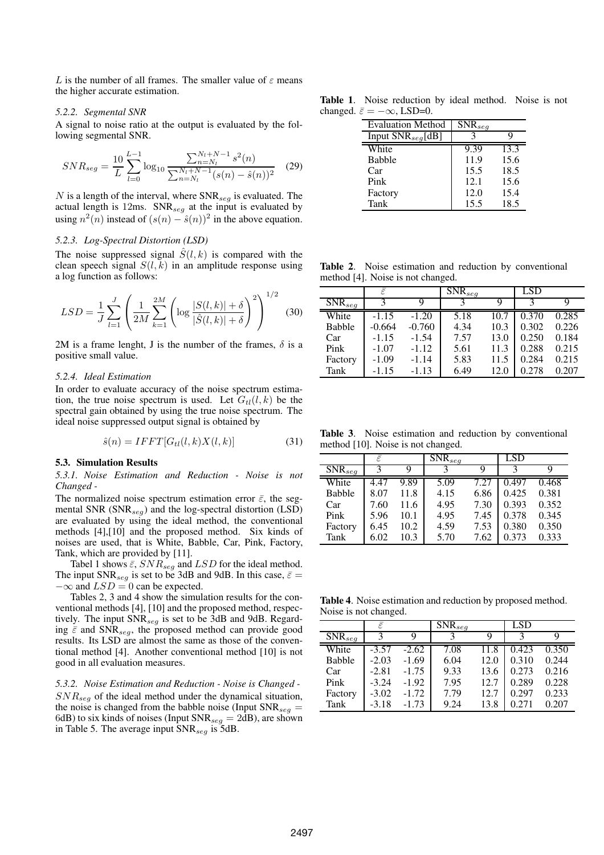L is the number of all frames. The smaller value of  $\varepsilon$  means the higher accurate estimation.

#### *5.2.2. Segmental SNR*

A signal to noise ratio at the output is evaluated by the following segmental SNR.

$$
SNR_{seg} = \frac{10}{L} \sum_{l=0}^{L-1} \log_{10} \frac{\sum_{n=N_l}^{N_l+N-1} s^2(n)}{\sum_{n=N_l}^{N_l+N-1} (s(n) - \hat{s}(n))^2}
$$
(29)

N is a length of the interval, where  $SNR_{seg}$  is evaluated. The actual length is 12ms.  $SNR_{seq}$  at the input is evaluated by using  $n^2(n)$  instead of  $(s(n) - \hat{s}(n))^2$  in the above equation.

# *5.2.3. Log-Spectral Distortion (LSD)*

The noise suppressed signal  $\hat{S}(l, k)$  is compared with the clean speech signal  $S(l, k)$  in an amplitude response using a log function as follows:

$$
LSD = \frac{1}{J} \sum_{l=1}^{J} \left( \frac{1}{2M} \sum_{k=1}^{2M} \left( \log \frac{|S(l,k)| + \delta}{|\hat{S}(l,k)| + \delta} \right)^2 \right)^{1/2} \tag{30}
$$

2M is a frame lenght, J is the number of the frames,  $\delta$  is a positive small value.

## *5.2.4. Ideal Estimation*

In order to evaluate accuracy of the noise spectrum estimation, the true noise spectrum is used. Let  $G_{tl}(l, k)$  be the spectral gain obtained by using the true noise spectrum. The ideal noise suppressed output signal is obtained by

$$
\hat{s}(n) = IFFT[G_{tl}(l,k)X(l,k)]\tag{31}
$$

### **5.3. Simulation Results**

*5.3.1. Noise Estimation and Reduction - Noise is not Changed -*

The normalized noise spectrum estimation error  $\bar{\varepsilon}$ , the segmental SNR  $(SNR_{seq})$  and the log-spectral distortion (LSD) are evaluated by using the ideal method, the conventional methods [4],[10] and the proposed method. Six kinds of noises are used, that is White, Babble, Car, Pink, Factory, Tank, which are provided by [11].

Tabel 1 shows  $\bar{\varepsilon}$ ,  $SNR_{seg}$  and  $LSD$  for the ideal method. The input SNR<sub>seg</sub> is set to be 3dB and 9dB. In this case,  $\bar{\varepsilon}$  =  $-\infty$  and  $LSD = 0$  can be expected.

Tables 2, 3 and 4 show the simulation results for the conventional methods [4], [10] and the proposed method, respectively. The input  $\text{SNR}_{seq}$  is set to be 3dB and 9dB. Regarding  $\bar{\varepsilon}$  and SNR<sub>seg</sub>, the proposed method can provide good results. Its LSD are almost the same as those of the conventional method [4]. Another conventional method [10] is not good in all evaluation measures.

*5.3.2. Noise Estimation and Reduction - Noise is Changed -*  $SNR_{seq}$  of the ideal method under the dynamical situation, the noise is changed from the babble noise (Input  $SNR_{seq}$  = 6dB) to six kinds of noises (Input  $SNR_{seg} = 2dB$ ), are shown in Table 5. The average input  $SNR_{seq}$  is 5dB.

**Table 1**. Noise reduction by ideal method. Noise is not changed.  $\bar{\varepsilon} = -\infty$ , LSD=0.

| <b>Evaluation Method</b> | $\overline{\text{SNR}}_{seg}$ |      |
|--------------------------|-------------------------------|------|
| Input $SNR_{seg}$ [dB]   |                               |      |
| White                    | 9.39                          | 13.3 |
| <b>Babble</b>            | 11.9                          | 15.6 |
| Car                      | 15.5                          | 18.5 |
| Pink                     | 12.1                          | 15.6 |
| Factory                  | 12.0                          | 15.4 |
| Tank                     | 15.5                          | 18.5 |

**Table 2**. Noise estimation and reduction by conventional method [4]. Noise is not changed.

|               | Ē        |          | $\overline{\text{SNR}}_{seg}$ |      | <b>LSD</b> |       |
|---------------|----------|----------|-------------------------------|------|------------|-------|
| $SNR_{seg}$   | κ        |          |                               |      |            |       |
| White         | $-1.15$  | $-1.20$  | 5.18                          | 10.7 | 0.370      | 0.285 |
| <b>Babble</b> | $-0.664$ | $-0.760$ | 4.34                          | 10.3 | 0.302      | 0.226 |
| Car           | $-1.15$  | $-1.54$  | 7.57                          | 13.0 | 0.250      | 0.184 |
| Pink          | $-1.07$  | $-1.12$  | 5.61                          | 11.3 | 0.288      | 0.215 |
| Factory       | $-1.09$  | $-1.14$  | 5.83                          | 11.5 | 0.284      | 0.215 |
| Tank          | $-1.15$  | $-1.13$  | 6.49                          | 12.0 | 0.278      | 0.207 |

**Table 3**. Noise estimation and reduction by conventional method [10]. Noise is not changed.

|               | Ē    |      | $\overline{\text{SNR}}_{seg}$ |      | LSD   |       |
|---------------|------|------|-------------------------------|------|-------|-------|
| $SNR_{seg}$   | 3    | Q    |                               | Q    |       |       |
| White         | 4.47 | 9.89 | 5.09                          | 7.27 | 0.497 | 0.468 |
| <b>Babble</b> | 8.07 | 11.8 | 4.15                          | 6.86 | 0.425 | 0.381 |
| Car           | 7.60 | 11.6 | 4.95                          | 7.30 | 0.393 | 0.352 |
| Pink          | 5.96 | 10.1 | 4.95                          | 7.45 | 0.378 | 0.345 |
| Factory       | 6.45 | 10.2 | 4.59                          | 7.53 | 0.380 | 0.350 |
| Tank          | 6.02 | 10.3 | 5.70                          | 7.62 | 0.373 | 0.333 |

**Table 4**. Noise estimation and reduction by proposed method. Noise is not changed.

|               | Ē       |         | $\overline{\text{SNR}}_{seg}$ |      | LSD                |       |
|---------------|---------|---------|-------------------------------|------|--------------------|-------|
| $SNR_{seg}$   | κ       | y       |                               | ч    |                    | Q     |
| White         | $-3.57$ | $-2.62$ | 7.08                          | 11.8 | $\overline{0.423}$ | 0.350 |
| <b>Babble</b> | $-2.03$ | $-1.69$ | 6.04                          | 12.0 | 0.310              | 0.244 |
| Car           | $-2.81$ | $-1.75$ | 9.33                          | 13.6 | 0.273              | 0.216 |
| Pink          | $-3.24$ | $-1.92$ | 7.95                          | 12.7 | 0.289              | 0.228 |
| Factory       | $-3.02$ | $-1.72$ | 7.79                          | 12.7 | 0.297              | 0.233 |
| Tank          | $-3.18$ | $-1.73$ | 9.24                          | 13.8 | 0.271              | 0.207 |